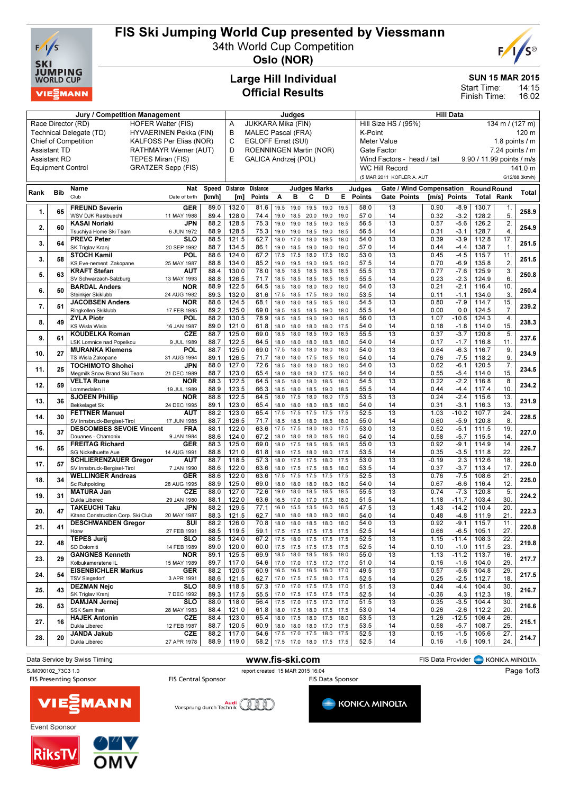

## FIS Ski Jumping World Cup presented by Viessmann

34th World Cup Competition



Oslo (NOR)

## Large Hill Individual Official Results

#### SUN 15 MAR 2015

14:15 Start Time:

16:02 Finish Time:

| Jury / Competition Management                |                                                        |                                                             |                           |              |                 | Judges                                                                                                     |                |                |                                                      |              |              | <b>Hill Data</b> |                                 |                        |                  |                    |                 |               |
|----------------------------------------------|--------------------------------------------------------|-------------------------------------------------------------|---------------------------|--------------|-----------------|------------------------------------------------------------------------------------------------------------|----------------|----------------|------------------------------------------------------|--------------|--------------|------------------|---------------------------------|------------------------|------------------|--------------------|-----------------|---------------|
|                                              |                                                        | Race Director (RD)                                          | <b>HOFER Walter (FIS)</b> |              | A               | JUKKARA Mika (FIN)                                                                                         |                |                |                                                      |              |              |                  | Hill Size HS / (95%)            |                        |                  |                    | 134 m / (127 m) |               |
|                                              | Technical Delegate (TD)                                | B                                                           | <b>MALEC Pascal (FRA)</b> |              |                 |                                                                                                            |                |                | K-Point<br>120 m                                     |              |              |                  |                                 |                        |                  |                    |                 |               |
|                                              | <b>Chief of Competition</b><br>KALFOSS Per Elias (NOR) |                                                             |                           |              |                 | EGLOFF Ernst (SUI)                                                                                         |                |                |                                                      |              |              |                  | <b>Meter Value</b>              | 1.8 points $\sqrt{}$ m |                  |                    |                 |               |
| <b>Assistant TD</b><br>RATHMAYR Werner (AUT) |                                                        |                                                             |                           |              | C<br>D          |                                                                                                            |                |                |                                                      |              |              |                  | Gate Factor                     |                        |                  |                    | 7.24 points / m |               |
| <b>Assistant RD</b><br>TEPES Miran (FIS)     |                                                        |                                                             |                           |              | E               | ROENNINGEN Martin (NOR)<br>GALICA Andrzej (POL)<br>9.90 / 11.99 points / m/s<br>Wind Factors - head / tail |                |                |                                                      |              |              |                  |                                 |                        |                  |                    |                 |               |
|                                              |                                                        | <b>Equipment Control</b>                                    | <b>GRATZER Sepp (FIS)</b> |              |                 |                                                                                                            |                |                |                                                      |              |              |                  | <b>WC Hill Record</b>           |                        |                  |                    |                 | 141.0 m       |
|                                              |                                                        |                                                             |                           |              |                 |                                                                                                            |                |                |                                                      |              |              |                  |                                 |                        |                  |                    |                 |               |
|                                              |                                                        |                                                             |                           |              |                 |                                                                                                            |                |                |                                                      |              |              |                  | (5 MAR 2011 KOFLER A. AUT       |                        |                  |                    |                 | G12/88.3km/h) |
| Rank                                         | <b>Bib</b>                                             | Name                                                        | Nat                       | Speed        | <b>Distance</b> | <b>Distance</b>                                                                                            |                |                | <b>Judges Marks</b>                                  |              |              | Judges           | <b>Gate / Wind Compensation</b> |                        |                  | <b>Round Round</b> |                 | <b>Total</b>  |
|                                              |                                                        | Club                                                        | Date of birth             | [km/h]       | [m]             | <b>Points</b>                                                                                              | Α              | в              | С                                                    | D            | E.           | <b>Points</b>    | Gate Points                     | [m/s] Points           |                  | <b>Total Rank</b>  |                 |               |
|                                              |                                                        | <b>FREUND Severin</b>                                       | <b>GER</b>                | 89.0         | 132.0           | 81.6                                                                                                       | 19.5           | 19.0           | 19.5                                                 | 19.0         | 19.5         | 58.0             | 13                              | 0.90                   | $-8.9$           | 130.7              | 1.              |               |
| 1.                                           | 65                                                     | WSV DJK Rastbuechl                                          | 11 MAY 1988               | 89.4         | 128.0           | 74.4                                                                                                       | 19.0           | 18.5           | 20.0                                                 | 19.0         | 19.0         | 57.0             | 14                              | 0.32                   | $-3.2$           | 128.2              | 5.              | 258.9         |
|                                              |                                                        | <b>KASAI Noriaki</b>                                        | <b>JPN</b>                | 88.2         | 128.5           | 75.3                                                                                                       | 19.0           | 19.0           | 18.5                                                 | 19.0         | 18.5         | 56.5             | 13                              | 0.57                   | $-5.6$           | 126.2              | 2.              |               |
| 2.                                           | 60                                                     | Tsuchiya Home Ski Team                                      | 6 JUN 1972                | 88.9         | 128.5           | 75.3                                                                                                       | 19.0           | 19.0           | 18.5                                                 | 19.0         | 18.5         | 56.5             | 14                              | 0.31                   | $-3.1$           | 128.7              | 4.              | 254.9         |
|                                              |                                                        | <b>PREVC Peter</b>                                          | SLO                       | 88.5         | 121.5           | 62.7                                                                                                       | 18.0           | 17.0           | 18.0                                                 | 18.5         | 18.0         | 54.0             | 13                              | 0.39                   | $-3.9$           | 112.8              | 17.             |               |
| 3.                                           | 64                                                     | SK Triglav Kranj                                            | 20 SEP 1992               | 88.7         | 134.5           | 86.1                                                                                                       | 19.0           | 18.5           | 19.0                                                 | 19.0         | 19.0         | 57.0             | 14                              | 0.44                   | $-4.4$           | 138.7              | $\mathbf{1}$    | 251.5         |
| 3.                                           | 58                                                     | <b>STOCH Kamil</b>                                          | POL                       | 88.6         | 124.0           | 67.2                                                                                                       | 17.5           | 17.5           | 18.0                                                 | 17.5         | 18.0         | 53.0             | 13                              | 0.45                   | $-4.5$           | 115.7              | 11.             | 251.5         |
|                                              |                                                        | KS Eve-nement Zakopane                                      | 25 MAY 1987               | 88.8         | 134.0           | 85.2                                                                                                       | 19.0           | 19.5           | 19.0                                                 | 19.5         | 19.0         | 57.5             | 14                              | 0.70                   | $-6.9$           | 135.8              | 2.              |               |
| 5.                                           | 63                                                     | <b>KRAFT Stefan</b>                                         | AUT                       | 88.4         | 130.0           | 78.0                                                                                                       | 18.5           | 18.5           | 18.5                                                 | 18.5         | 18.5         | 55.5             | 13                              | 0.77                   | $-7.6$           | 125.9              | 3.              | 250.8         |
|                                              |                                                        | SV Schwarzach-Salzburg                                      | 13 MAY 1993               | 88.8         | 126.5           | 71.7                                                                                                       | 18.5           | 18.5           | 18.5                                                 | 18.5         | 18.5         | 55.5             | 14                              | 0.23                   | $-2.3$           | 124.9              | 6.              |               |
| 6.                                           | 50                                                     | <b>BARDAL Anders</b>                                        | <b>NOR</b>                | 88.9         | 122.5           | 64.5                                                                                                       | 18.5           | 18.0           | 18.0                                                 | 18.0         | 18.0         | 54.0             | 13                              | 0.21                   | $-2.1$           | 116.4              | 10.             | 250.4         |
|                                              |                                                        | Steinkier Skiklubb                                          | 24 AUG 1982               | 89.3         | 132.0           | 81.6                                                                                                       | 17.5           | 18.5           | 17.5                                                 | 18.0         | 18.0         | 53.5             | 14                              | 0.11                   | $-1.1$           | 134.0              | 3.              |               |
| 7.                                           | 51                                                     | <b>JACOBSEN Anders</b>                                      | <b>NOR</b>                | 88.6         | 124.5           | 68.1                                                                                                       | 18.0           | 18.0           | 18.5                                                 | 18.5         | 18.0         | 54.5             | $\overline{13}$                 | 0.80                   | $-7.9$           | 114.7              | 15.             | 239.2         |
|                                              |                                                        | Ringkollen Skiklubb                                         | 17 FEB 1985<br>POL        | 89.2<br>88.2 | 125.0           | 69.0<br>78.9                                                                                               | 18.5<br>18.5   | 18.5<br>18.5   | 18.5<br>19.0                                         | 19.0<br>19.0 | 18.0<br>18.5 | 55.5<br>56.0     | 14<br>13                        | 0.00<br>1.07           | 0.0<br>$-10.6$   | 124.5<br>124.3     | 7.<br>4.        |               |
| 8.                                           | 49                                                     | <b>ZYLA Piotr</b><br>KS Wisla Wisla                         | 16 JAN 1987               | 89.0         | 130.5<br>121.0  | 61.8                                                                                                       | 18.0           | 18.0           | 18.0                                                 | 18.0         | 17.5         | 54.0             | 14                              | 0.18                   | $-1.8$           | 114.0              | 15.             | 238.3         |
|                                              |                                                        | <b>KOUDELKA Roman</b>                                       | CZE                       | 88.7         | 125.0           | 69.0                                                                                                       | 18.5           | 18.0           | 18.5                                                 | 19.0         | 18.5         | 55.5             | 13                              | 0.37                   | $-3.7$           | 120.8              | 5.              |               |
| 9.                                           | 61                                                     | LSK Lomnice nad Popelkou                                    | 9 JUL 1989                | 88.7         | 122.5           | 64.5                                                                                                       | 18.0           | 18.0           | 18.0                                                 | 18.5         | 18.0         | 54.0             | 14                              | 0.17                   | $-1.7$           | 116.8              | 11.             | 237.6         |
|                                              |                                                        | <b>MURANKA Klemens</b>                                      | POL                       | 88.7         | 125.0           | 69.0                                                                                                       | 17.5           | 18.0           | 18.0                                                 | 18.0         | 18.0         | 54.0             | 13                              | 0.64                   | $-6.3$           | 116.7              | 9.              |               |
| 10.                                          | 27                                                     | TS Wisla Zakopane                                           | 31 AUG 1994               | 89.1         | 126.5           | 71.7                                                                                                       | 18.0           | 18.0           | 17.5                                                 | 18.5         | 18.0         | 54.0             | 14                              | 0.76                   | $-7.5$           | 118.2              | 9.              | 234.9         |
|                                              |                                                        | <b>TOCHIMOTO Shohei</b>                                     | <b>JPN</b>                | 88.0         | 127.0           | 72.6                                                                                                       | 18.5           | 18.0           | 18.0                                                 | 18.0         | 18.0         | 54.0             | 13                              | 0.62                   | $-6.1$           | 120.5              | 7.              |               |
| 11.                                          | 25                                                     | Megmilk Snow Brand Ski Team                                 | 21 DEC 1989               | 88.7         | 123.0           | 65.4                                                                                                       | 18.0           | 18.0           | 18.0                                                 | 17.5         | 18.0         | 54.0             | 14                              | 0.55                   | $-5.4$           | 114.0              | 15              | 234.5         |
|                                              |                                                        | <b>VELTA Rune</b>                                           | <b>NOR</b>                | 88.3         | 122.5           | 64.5                                                                                                       | 18.5           | 18.0           | 18.0                                                 | 18.5         | 18.0         | 54.5             | 13                              | 0.22                   | $-2.2$           | 116.8              | 8.              |               |
| 12.                                          | 59                                                     | Lommedalen II                                               | 19 JUL 1989               | 88.9         | 123.5           | 66.3                                                                                                       | 18.5           | 18.0           | 18.5                                                 | 19.0         | 18.5         | 55.5             | 14                              | 0.44                   | $-4.4$           | 117.4              | 10.             | 234.2         |
| 13.                                          | 36                                                     | <b>SJOEEN Phillip</b>                                       | <b>NOR</b>                | 88.8         | 122.5           | 64.5                                                                                                       | 18.0           | 17.5           | 18.0                                                 | 18.0         | 17.5         | 53.5             | 13                              | 0.24                   | $-2.4$           | 115.6              | 13.             | 231.9         |
|                                              |                                                        | <b>Bekkelaget Sk</b>                                        | 24 DEC 1995               | 89.1         | 123.0           | 65.4                                                                                                       | 18.0           | 18.0           | 18.0                                                 | 18.5         | 18.0         | 54.0             | 14                              | 0.31                   | $-3.1$           | 116.3              | 13.             |               |
| 14.                                          | 30                                                     | <b>FETTNER Manuel</b>                                       | <b>AUT</b>                | 88.2         | 123.0           | 65.4                                                                                                       | 17.5           | 17.5           | 17.5                                                 | 17.5         | 17.5         | 52.5             | 13                              | 1.03                   | $-10.2$          | 107.7              | $\overline{24}$ | 228.5         |
|                                              |                                                        | SV Innsbruck-Bergisel-Tirol                                 | 17 JUN 1985               | 88.7         | 126.5           | 71.7                                                                                                       | 18.5           | 18.5           | 18.0                                                 | 18.5         | 18.0         | 55.0             | 14                              | 0.60                   | $-5.9$           | 120.8              | 8               |               |
| 15.                                          | 37                                                     | <b>DESCOMBES SEVOIE Vincent</b>                             | <b>FRA</b>                | 88.1         | 122.0           | 63.6                                                                                                       | 17.5           | 17.5           | 18.0                                                 | 18.0         | 17.5         | 53.0             | 13                              | 0.52                   | $-5.1$           | 111.5              | 19.             | 227.0         |
|                                              |                                                        | Douanes - Chamonix                                          | 9 JAN 1984                | 88.6         | 124.0           | 67.2                                                                                                       | 18.0           | 18.0           | 18.0                                                 | 18.5         | 18.0         | 54.0             | 14                              | 0.58                   | $-5.7$           | 115.5              | 14              |               |
| 16.                                          | 55                                                     | <b>FREITAG Richard</b>                                      | <b>GER</b>                | 88.3         | 125.0           | 69.0                                                                                                       | 18.0           | 17.5           | 18.5                                                 | 18.5         | 18.5         | 55.0             | $\overline{13}$                 | 0.92                   | $-9.1$           | 114.9              | 14.             | 226.7         |
|                                              |                                                        | SG Nickelhuette Aue                                         | 14 AUG 1991               | 88.8<br>88.7 | 121.0<br>118.5  | 61.8<br>57.3                                                                                               | 18.0<br>18.0   | 17.5<br>17.5   | 18.0<br>17.5                                         | 18.0<br>18.0 | 17.5<br>17.5 | 53.5<br>53.0     | 14<br>13                        | 0.35<br>$-0.19$        | $-3.5$<br>2.3    | 111.8<br>112.6     | 22<br>18.       |               |
| 17.                                          | 57                                                     | <b>SCHLIERENZAUER Gregor</b><br>SV Innsbruck-Bergisel-Tirol | <b>AUT</b><br>7 JAN 1990  | 88.6         | 122.0           | 63.6                                                                                                       | 18.0           | 17.5           | 17.5                                                 | 18.5         | 18.0         | 53.5             | 14                              | 0.37                   | $-3.7$           | 113.4              | 17.             | 226.0         |
|                                              |                                                        | <b>WELLINGER Andreas</b>                                    | <b>GER</b>                | 88.6         | 122.0           | 63.6                                                                                                       | 17.5           | 17.5           | 17.5                                                 | 17.5         | 17.5         | 52.5             | 13                              | 0.76                   | $-7.5$           | 108.6              | 21.             |               |
| 18.                                          | 34                                                     | Sc Ruhpolding                                               | 28 AUG 1995               | 88.9         | 125.0           | 69.0                                                                                                       | 18.0           | 18.0           | 18.0                                                 | 18.0         | 18.0         | 54.0             | 14                              | 0.67                   | $-6.6$           | 116.4              | 12.             | 225.0         |
|                                              |                                                        | <b>MATURA Jan</b>                                           | <b>CZE</b>                | 88.0         | 127.0           | 72.6                                                                                                       | 19.0           | 18.0           | 18.5                                                 | 18.5         | 18.5         | 55.5             | 13                              | 0.74                   | $-7.3$           | 120.8              | 5.              |               |
| 19.                                          | 31                                                     | Dukla Liberec                                               | 29 JAN 1980               | 88.1         | 122.0           | 63.6                                                                                                       | 16.5           | 17.0           | 17.0                                                 | 17.5         | 18.0         | 51.5             | 14                              | 1.18                   | $-11.7$          | 103.4              | 30.             | 224.2         |
|                                              |                                                        | <b>TAKEUCHI Taku</b>                                        | JPN                       | 88.2         | 129.5           | 77.1                                                                                                       | 16.0           | 15.5           | 13.5                                                 | 16.0         | 16.5         | 47.5             | 13                              | 1.43                   | $-14.2$          | 110.4              | 20.             |               |
| 20.                                          | 47                                                     | Kitano Construction Corp. Ski Club                          | 20 MAY 1987               | 88.3         | 121.5           | 62.7                                                                                                       | 18.0           | 18.0           | 18.0                                                 | 18.0         | 18.0         | 54.0             | 14                              | 0.48                   | $-4.8$           | 111.9              | 21.             | 222.3         |
| 21.                                          | 41                                                     | <b>DESCHWANDEN Gregor</b>                                   | SUI                       | 88.2         | 126.0           | 70.8                                                                                                       | 18.0           | 18.0           | 18.5                                                 | 18.0         | 18.0         | 54.0             | 13                              | 0.92                   | $-9.1$           | 115.7              | 11.             | 220.8         |
|                                              |                                                        | Horw                                                        | 27 FEB 1991               | 88.5         | 119.5           | 59.1                                                                                                       | 17.5           |                | 17.5 17.5 17.5                                       |              | 17.5         | 52.5             | 14                              | 0.66                   | $-6.5$           | 105.1              | 27.             |               |
| 22.                                          | 48                                                     | <b>TEPES Jurij</b>                                          | SLO                       | 88.5         | 124.0           | 67.2                                                                                                       | 17.5           |                | 18.0 17.5 17.5                                       |              | 17.5         | 52.5             | 13                              | 1.15                   | $-11.4$          | 108.3              | 22.             | 219.8         |
|                                              |                                                        | SD Dolomiti                                                 | 14 FEB 1989               | 89.0         | 120.0           | 60.0                                                                                                       |                | 17.5 17.5 17.5 |                                                      | 17.5         | 17.5         | 52.5             | 14                              | 0.10                   | $-1.0$           | 111.5              | 23.             |               |
| 23.                                          | 29                                                     | <b>GANGNES Kenneth</b>                                      | <b>NOR</b>                | 89.1         | 125.5           | 69.9                                                                                                       | 18.5 18.0      |                | 18.5                                                 | 18.5 18.0    |              | 55.0             | 13                              | 1.13                   | $-11.2$          | 113.7              | 16.             | 217.7         |
|                                              |                                                        | Kolbukameratene IL                                          | 15 MAY 1989               | 89.7         | 117.0           | 54.6                                                                                                       | 17.0 17.0 17.5 |                |                                                      | 17.0         | 17.0         | 51.0             | 14                              | 0.16                   | $-1.6$           | 104.0              | 29.             |               |
| 24.                                          | 54                                                     | <b>EISENBICHLER Markus</b>                                  | <b>GER</b>                | 88.2         | 120.5           | 60.9                                                                                                       | 16.5 16.5      |                | 16.5                                                 | 16.0         | 17.0         | 49.5             | 13                              | 0.57                   | $-5.6$           | 104.8              | 29.             | 217.5         |
|                                              |                                                        | <b>TSV Siegsdorf</b><br><b>DEZMAN Nejc</b>                  | 3 APR 1991<br><b>SLO</b>  | 88.6<br>88.9 | 121.5<br>118.5  | 62.7<br>57.3                                                                                               |                |                | 17.0 17.5 17.5 18.0 17.5<br>17.0 17.0 17.5 17.5 17.0 |              |              | 52.5<br>51.5     | 14<br>13                        | 0.25<br>0.44           | $-2.5$<br>$-4.4$ | 112.7<br>104.4     | 18.<br>30.      |               |
| 25.                                          | 43                                                     | SK Triglav Krani                                            | 7 DEC 1992                | 89.3         | 117.5           | 55.5                                                                                                       |                |                | 17.0 17.5 17.5 17.5 17.5                             |              |              | 52.5             | 14                              | $-0.36$                | 4.3              | 112.3              | 19.             | 216.7         |
|                                              |                                                        | <b>DAMJAN Jernej</b>                                        | <b>SLO</b>                | 88.0         | 118.0           | 56.4                                                                                                       | 17.5 17.0 17.5 |                |                                                      | 17.0         | 17.0         | 51.5             | 13                              | 0.35                   | $-3.5$           | 104.4              | 30.             |               |
| 26.                                          | 53                                                     | SSK Sam Ihan                                                | 28 MAY 1983               | 88.4         | 121.0           | 61.8                                                                                                       |                |                | 18.0 17.5 18.0 17.5 17.5                             |              |              | 53.0             | 14                              | 0.26                   | $-2.6$           | 112.2              | 20.             | 216.6         |
|                                              |                                                        | <b>HAJEK Antonin</b>                                        | CZE                       | 88.4         | 123.0           | 65.4                                                                                                       |                | 18.0 17.5      | 18.0                                                 | 17.5 18.0    |              | 53.5             | 13                              | 1.26                   | $-12.5$          | 106.4              | 26.             |               |
| 27.                                          | 16                                                     | Dukla Liberec                                               | 12 FEB 1987               | 88.7         | 120.5           | 60.9                                                                                                       |                | 18.0 18.0      | 18.0 17.0 17.5                                       |              |              | 53.5             | 14                              | 0.58                   | $-5.7$           | 108.7              | 25.             | 215.1         |
|                                              | 20                                                     | JANDA Jakub                                                 | CZE                       | 88.2         | 117.0           | 54.6                                                                                                       |                |                | 17.5 17.0 17.5 18.0 17.5                             |              |              | 52.5             | 13                              | 0.15                   | $-1.5$           | 105.6              | 27.             |               |
| 28.                                          |                                                        | Dukla Liberec                                               | 27 APR 1978               | 88.9         | 119.0           | 58.2                                                                                                       |                |                | 17.5 17.0 18.0 17.5 17.5                             |              |              | 52.5             | 14                              | 0.16                   | $-1.6$           | 109.1              | 24.             | 214.7         |
|                                              |                                                        |                                                             |                           |              |                 |                                                                                                            |                |                |                                                      |              |              |                  |                                 |                        |                  |                    |                 |               |



Event Sponsor





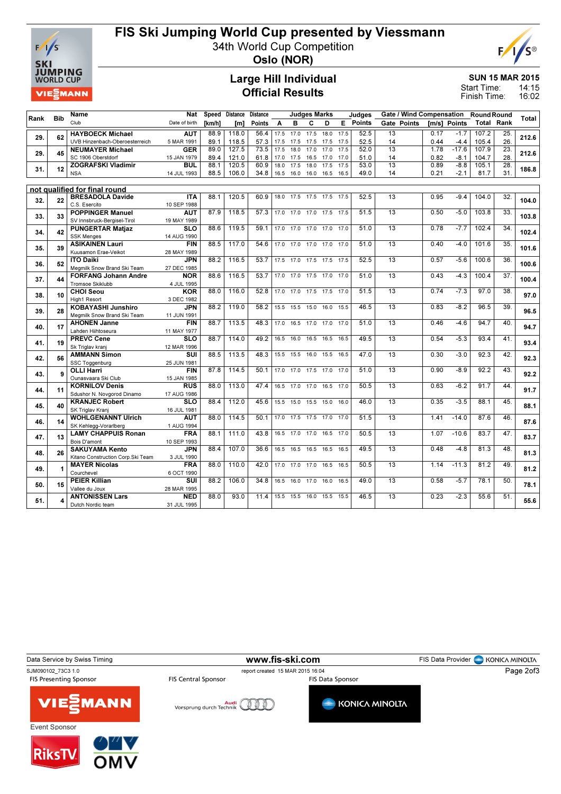

RiksT

## FIS Ski Jumping World Cup presented by Viessmann

34th World Cup Competition



Oslo (NOR)

### Large Hill Individual Official Results

SUN 15 MAR 2015

14:15 16:02 Start Time: Finish Time:

|      |            | Name                                        | Nat                       |        | Speed Distance   | <b>Distance</b> |          |                          | <b>Judges Marks</b> |           |      | Judges   |                 |             |      |              | Gate / Wind Compensation Round Round |                   |       |
|------|------------|---------------------------------------------|---------------------------|--------|------------------|-----------------|----------|--------------------------|---------------------|-----------|------|----------|-----------------|-------------|------|--------------|--------------------------------------|-------------------|-------|
| Rank | <b>Bib</b> | Club                                        | Date of birth             | [km/h] | [ <sub>m</sub> ] | Points          | <b>A</b> | B                        | C                   | D         |      | E Points |                 | Gate Points |      | [m/s] Points |                                      | <b>Total Rank</b> | Total |
|      |            | <b>HAYBOECK Michael</b>                     | <b>AUT</b>                | 88.9   | 118.0            | 56.4            | 17.5     | 17.0                     | 17.5                | 18.0      | 17.5 | 52.5     | 13              |             | 0.17 | $-1.7$       | 107.2                                | 25.               |       |
| 29.  | 62         | UVB Hinzenbach-Oberoesterreich              | 5 MAR 1991                | 89.1   | 118.5            | 57.3            | 17.5     | 17.5 17.5                |                     | 17.5 17.5 |      | 52.5     | 14              |             | 0.44 | $-4.4$       | 105.4                                | 26.               | 212.6 |
|      |            | <b>NEUMAYER Michael</b>                     | <b>GER</b>                | 89.0   | 127.5            | 73.5            | 17.5     | 18.0                     | 17.0                | 17.0      | 17.5 | 52.0     | $\overline{13}$ |             | 1.78 | $-17.6$      | 107.9                                | 23.               |       |
| 29.  | 45         | SC 1906 Oberstdorf                          | 15 JAN 1979               | 89.4   | 121.0            | 61.8            | 17.0     | 17.5                     | 16.5                | 17.0      | 17.0 | 51.0     | 14              |             | 0.82 | $-8.1$       | 104.7                                | 28.               | 212.6 |
|      |            | <b>ZOGRAFSKI Vladimir</b>                   | <b>BUL</b>                | 88.1   | 120.5            | 60.9            | 18.0     | 17.5                     | 18.0                | 17.5      | 17.5 | 53.0     | $\overline{13}$ |             | 0.89 | $-8.8$       | 105.1                                | 28.               |       |
| 31.  | 12         | <b>NSA</b>                                  | 14 JUL 1993               | 88.5   | 106.0            | 34.8            | 16.5     | 16.0                     | 16.0                | 16.5 16.5 |      | 49.0     | 14              |             | 0.21 | $-2.1$       | 81.7                                 | 31.               | 186.8 |
|      |            |                                             |                           |        |                  |                 |          |                          |                     |           |      |          |                 |             |      |              |                                      |                   |       |
|      |            | not qualified for final round               |                           |        |                  |                 |          |                          |                     |           |      |          |                 |             |      |              |                                      |                   |       |
| 32.  | 22         | <b>BRESADOLA Davide</b>                     | <b>ITA</b>                | 88.1   | 120.5            | 60.9            |          | 18.0 17.5 17.5 17.5 17.5 |                     |           |      | 52.5     | 13              |             | 0.95 | $-9.4$       | 104.0                                | 32.               | 104.0 |
|      |            | C.S. Esercito                               | 10 SEP 1988               |        |                  |                 |          |                          |                     |           |      |          |                 |             |      |              |                                      |                   |       |
| 33.  | 33         | <b>POPPINGER Manuel</b>                     | <b>AUT</b>                | 87.9   | 118.5            | 57.3            |          | 17.0 17.0 17.0 17.5 17.5 |                     |           |      | 51.5     | 13              |             | 0.50 | $-5.0$       | 103.8                                | 33.               | 103.8 |
|      |            | SV Innsbruck-Bergisel-Tirol                 | 19 MAY 1989               |        |                  |                 |          |                          |                     |           |      |          |                 |             |      |              |                                      |                   |       |
| 34.  | 42         | <b>PUNGERTAR Matjaz</b>                     | <b>SLO</b>                | 88.6   | 119.5            | 59.1            |          | 17.0 17.0 17.0 17.0 17.0 |                     |           |      | 51.0     | $\overline{13}$ |             | 0.78 | $-7.7$       | 102.4                                | $\overline{34}$ . | 102.4 |
|      |            | <b>SSK Menges</b><br><b>ASIKAINEN Lauri</b> | 14 AUG 1990<br><b>FIN</b> | 88.5   | 117.0            | 54.6            |          | 17.0 17.0 17.0 17.0 17.0 |                     |           |      | 51.0     | 13              |             | 0.40 | $-4.0$       | 101.6                                | 35.               |       |
| 35.  | 39         | Kuusamon Erae-Veikot                        | 28 MAY 1989               |        |                  |                 |          |                          |                     |           |      |          |                 |             |      |              |                                      |                   | 101.6 |
|      |            | <b>ITO Daiki</b>                            | <b>JPN</b>                | 88.2   | 116.5            | 53.7            |          | 17.5 17.0 17.5 17.5 17.5 |                     |           |      | 52.5     | 13              |             | 0.57 | $-5.6$       | 100.6                                | 36                |       |
| 36.  | 52         | Megmilk Snow Brand Ski Team                 | 27 DEC 1985               |        |                  |                 |          |                          |                     |           |      |          |                 |             |      |              |                                      |                   | 100.6 |
|      |            | <b>FORFANG Johann Andre</b>                 | <b>NOR</b>                | 88.6   | 116.5            | 53.7            |          | 17.0 17.0 17.5 17.0 17.0 |                     |           |      | 51.0     | $\overline{13}$ |             | 0.43 | $-4.3$       | 100.4                                | $\overline{37}$ . |       |
| 37.  | 44         | <b>Tromsoe Skiklubb</b>                     | 4 JUL 1995                |        |                  |                 |          |                          |                     |           |      |          |                 |             |      |              |                                      |                   | 100.4 |
|      |            | <b>CHOI Seou</b>                            | <b>KOR</b>                | 88.0   | 116.0            | 52.8            |          | 17.0 17.0 17.5 17.5 17.0 |                     |           |      | 51.5     | 13              |             | 0.74 | $-7.3$       | 97.0                                 | 38.               |       |
| 38.  | 10         | High1 Resort                                | 3 DEC 1982                |        |                  |                 |          |                          |                     |           |      |          |                 |             |      |              |                                      |                   | 97.0  |
| 39.  | 28         | <b>KOBAYASHI Junshiro</b>                   | <b>JPN</b>                | 88.2   | 119.0            | 58.2            |          | 15.5 15.5 15.0 16.0 15.5 |                     |           |      | 46.5     | 13              |             | 0.83 | $-8.2$       | 96.5                                 | 39                | 96.5  |
|      |            | Megmilk Snow Brand Ski Team                 | 11 JUN 1991               |        |                  |                 |          |                          |                     |           |      |          |                 |             |      |              |                                      |                   |       |
| 40.  | 17         | <b>AHONEN Janne</b>                         | <b>FIN</b>                | 88.7   | 113.5            | 48.3            |          | 17.0 16.5 17.0 17.0 17.0 |                     |           |      | 51.0     | 13              |             | 0.46 | $-4.6$       | 94.7                                 | 40                | 94.7  |
|      |            | Lahden Hiihtoseura                          | 11 MAY 1977               |        |                  |                 |          |                          |                     |           |      |          |                 |             |      |              |                                      |                   |       |
| 41.  | 19         | <b>PREVC Cene</b>                           | <b>SLO</b>                | 88.7   | 114.0            | 49.2            | 16.5     | 16.0                     | 16.5                | 16.5 16.5 |      | 49.5     | 13              |             | 0.54 | $-5.3$       | 93.4                                 | 41.               | 93.4  |
|      |            | Sk Triglav kranj                            | 12 MAR 1996               |        |                  |                 |          |                          |                     |           |      |          |                 |             |      |              |                                      |                   |       |
| 42.  | 56         | <b>AMMANN Simon</b>                         | SUI                       | 88.5   | 113.5            | 48.3            | 15.5     | 15.5                     | 16.0                | 15.5 16.5 |      | 47.0     | $\overline{13}$ |             | 0.30 | $-3.0$       | 92.3                                 | 42.               | 92.3  |
|      |            | SSC Toggenburg<br><b>OLLI Harri</b>         | 25 JUN 1981<br><b>FIN</b> | 87.8   | 114.5            | 50.1            |          | 17.0 17.0 17.5 17.0 17.0 |                     |           |      | 51.0     | 13              |             | 0.90 | $-8.9$       | 92.2                                 | 43.               |       |
| 43.  | 9          | Ounasvaara Ski Club                         | 15 JAN 1985               |        |                  |                 |          |                          |                     |           |      |          |                 |             |      |              |                                      |                   | 92.2  |
|      |            | <b>KORNILOV Denis</b>                       | <b>RUS</b>                | 88.0   | 113.0            | 47.4            |          | 16.5 17.0 17.0           |                     | 16.5 17.0 |      | 50.5     | 13              |             | 0.63 | $-6.2$       | 91.7                                 | 44.               |       |
| 44.  | 11         | Sdushor N. Novgorod Dinamo                  | 17 AUG 1986               |        |                  |                 |          |                          |                     |           |      |          |                 |             |      |              |                                      |                   | 91.7  |
|      |            | <b>KRANJEC Robert</b>                       | <b>SLO</b>                | 88.4   | 112.0            | 45.6            | 15.5     |                          | 15.0 15.5 15.0      |           | 16.0 | 46.0     | 13              |             | 0.35 | $-3.5$       | 88.1                                 | 45.               |       |
| 45.  | 40         | SK Triglav Krani                            | 16 JUL 1981               |        |                  |                 |          |                          |                     |           |      |          |                 |             |      |              |                                      |                   | 88.1  |
|      |            | <b>WOHLGENANNT Ulrich</b>                   | <b>AUT</b>                | 88.0   | 114.5            | 50.1            | 17.0     |                          | 17.5 17.5           | 17.0      | 17.0 | 51.5     | 13              |             | 1.41 | $-14.0$      | 87.6                                 | 46.               |       |
| 46.  | 14         | SK Kehlegg-Vorarlberg                       | 1 AUG 1994                |        |                  |                 |          |                          |                     |           |      |          |                 |             |      |              |                                      |                   | 87.6  |
| 47.  | 13         | <b>LAMY CHAPPUIS Ronan</b>                  | <b>FRA</b>                | 88.1   | 111.0            | 43.8            | 16.5     | 17.0 17.0                |                     | 16.5      | 17.0 | 50.5     | $\overline{13}$ |             | 1.07 | $-10.6$      | 83.7                                 | 47.               | 83.7  |
|      |            | Bois D'amont                                | 10 SEP 1993               |        |                  |                 |          |                          |                     |           |      |          |                 |             |      |              |                                      |                   |       |
| 48.  | 26         | <b>SAKUYAMA Kento</b>                       | <b>JPN</b>                | 88.4   | 107.0            | 36.6            | 16.5     |                          | 16.5 16.5           | 16.5 16.5 |      | 49.5     | 13              |             | 0.48 | $-4.8$       | 81.3                                 | 48.               | 81.3  |
|      |            | Kitano Construction Corp.Ski Team           | 3 JUL 1990                |        |                  |                 |          |                          |                     |           |      |          |                 |             |      |              |                                      |                   |       |
| 49.  | 1          | <b>MAYER Nicolas</b>                        | <b>FRA</b>                | 88.0   | 110.0            | 42.0            | 17.0     | 17.0                     | 17.0                | 16.5      | 16.5 | 50.5     | 13              |             | 1.14 | $-11.3$      | 81.2                                 | 49                | 81.2  |
|      |            | Courchevel                                  | 6 OCT 1990                |        |                  |                 |          |                          |                     |           |      |          |                 |             |      |              |                                      |                   |       |
| 50.  | 15         | <b>PEIER Killian</b>                        | SUI                       | 88.2   | 106.0            | 34.8            | 16.5     | 16.0                     | 17.0                | 16.0      | 16.5 | 49.0     | $\overline{13}$ |             | 0.58 | $-5.7$       | 78.1                                 | 50.               | 78.1  |
|      |            | Vallee du Joux<br><b>ANTONISSEN Lars</b>    | 28 MAR 1995<br><b>NED</b> | 88.0   | 93.0             | 11.4            |          | 15.5 15.5 16.0           |                     | 15.5      | 15.5 | 46.5     | 13              |             | 0.23 | $-2.3$       | 55.6                                 | 51.               |       |
| 51.  |            | Dutch Nordic team                           | 31 JUL 1995               |        |                  |                 |          |                          |                     |           |      |          |                 |             |      |              |                                      |                   | 55.6  |
|      |            |                                             |                           |        |                  |                 |          |                          |                     |           |      |          |                 |             |      |              |                                      |                   |       |